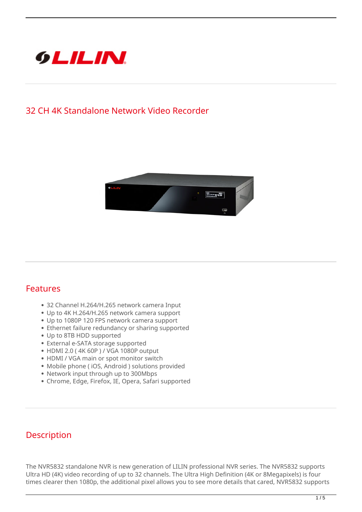

## **32 CH 4K Standalone Network Video Recorder**



## **Features**

- 32 Channel H.264/H.265 network camera Input
- Up to 4K H.264/H.265 network camera support
- Up to 1080P 120 FPS network camera support
- Ethernet failure redundancy or sharing supported
- Up to 8TB HDD supported
- External e-SATA storage supported
- HDMI 2.0 ( 4K 60P ) / VGA 1080P output
- HDMI / VGA main or spot monitor switch
- Mobile phone ( iOS, Android ) solutions provided
- Network input through up to 300Mbps
- Chrome, Edge, Firefox, IE, Opera, Safari supported

## **Description**

The NVR5832 standalone NVR is new generation of LILIN professional NVR series. The NVR5832 supports Ultra HD (4K) video recording of up to 32 channels. The Ultra High Definition (4K or 8Megapixels) is four times clearer then 1080p, the additional pixel allows you to see more details that cared, NVR5832 supports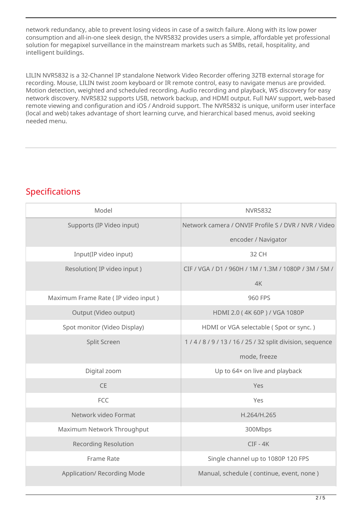network redundancy, able to prevent losing videos in case of a switch failure. Along with its low power consumption and all-in-one sleek design, the NVR5832 provides users a simple, affordable yet professional solution for megapixel surveillance in the mainstream markets such as SMBs, retail, hospitality, and intelligent buildings.

LILIN NVR5832 is a 32-Channel IP standalone Network Video Recorder offering 32TB external storage for recording. Mouse, LILIN twist zoom keyboard or IR remote control, easy to navigate menus are provided. Motion detection, weighted and scheduled recording. Audio recording and playback, WS discovery for easy network discovery. NVR5832 supports USB, network backup, and HDMI output. Full NAV support, web-based remote viewing and configuration and iOS / Android support. The NVR5832 is unique, uniform user interface (local and web) takes advantage of short learning curve, and hierarchical based menus, avoid seeking needed menu.

## **Specifications**

| Model                               | <b>NVR5832</b>                                        |
|-------------------------------------|-------------------------------------------------------|
| Supports (IP Video input)           | Network camera / ONVIF Profile S / DVR / NVR / Video  |
|                                     | encoder / Navigator                                   |
| Input(IP video input)               | 32 CH                                                 |
| Resolution(IP video input)          | CIF / VGA / D1 / 960H / 1M / 1.3M / 1080P / 3M / 5M / |
|                                     | 4K                                                    |
| Maximum Frame Rate (IP video input) | 960 FPS                                               |
| Output (Video output)               | HDMI 2.0 (4K 60P) / VGA 1080P                         |
| Spot monitor (Video Display)        | HDMI or VGA selectable (Spot or sync.)                |
| Split Screen                        | 1/4/8/9/13/16/25/32 split division, sequence          |
|                                     | mode, freeze                                          |
| Digital zoom                        | Up to 64x on live and playback                        |
| <b>CE</b>                           | Yes                                                   |
| <b>FCC</b>                          | Yes                                                   |
| Network video Format                | H.264/H.265                                           |
| Maximum Network Throughput          | 300Mbps                                               |
| <b>Recording Resolution</b>         | $CIF - 4K$                                            |
| Frame Rate                          | Single channel up to 1080P 120 FPS                    |
| <b>Application/ Recording Mode</b>  | Manual, schedule (continue, event, none)              |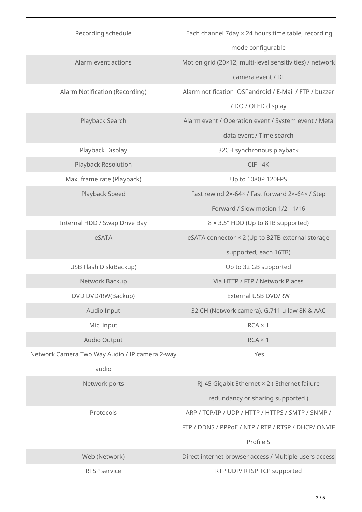| Recording schedule                             | Each channel 7day × 24 hours time table, recording       |
|------------------------------------------------|----------------------------------------------------------|
|                                                | mode configurable                                        |
| Alarm event actions                            | Motion grid (20×12, multi-level sensitivities) / network |
|                                                | camera event / DI                                        |
| Alarm Notification (Recording)                 | Alarm notification iOSDandroid / E-Mail / FTP / buzzer   |
|                                                | / DO / OLED display                                      |
| Playback Search                                | Alarm event / Operation event / System event / Meta      |
|                                                | data event / Time search                                 |
| Playback Display                               | 32CH synchronous playback                                |
| Playback Resolution                            | $CIF - 4K$                                               |
| Max. frame rate (Playback)                     | Up to 1080P 120FPS                                       |
| Playback Speed                                 | Fast rewind 2x-64x / Fast forward 2x-64x / Step          |
|                                                | Forward / Slow motion 1/2 - 1/16                         |
| Internal HDD / Swap Drive Bay                  | 8 × 3.5" HDD (Up to 8TB supported)                       |
| eSATA                                          | eSATA connector × 2 (Up to 32TB external storage         |
|                                                | supported, each 16TB)                                    |
| USB Flash Disk(Backup)                         | Up to 32 GB supported                                    |
| Network Backup                                 | Via HTTP / FTP / Network Places                          |
| DVD DVD/RW(Backup)                             | <b>External USB DVD/RW</b>                               |
| Audio Input                                    | 32 CH (Network camera), G.711 u-law 8K & AAC             |
| Mic. input                                     | $RCA \times 1$                                           |
| Audio Output                                   | $RCA \times 1$                                           |
| Network Camera Two Way Audio / IP camera 2-way | Yes                                                      |
| audio                                          |                                                          |
| Network ports                                  | RJ-45 Gigabit Ethernet × 2 (Ethernet failure             |
|                                                | redundancy or sharing supported)                         |
| Protocols                                      | ARP / TCP/IP / UDP / HTTP / HTTPS / SMTP / SNMP /        |
|                                                | FTP / DDNS / PPPoE / NTP / RTP / RTSP / DHCP/ ONVIF      |
|                                                | Profile S                                                |
| Web (Network)                                  | Direct internet browser access / Multiple users access   |
| RTSP service                                   | RTP UDP/ RTSP TCP supported                              |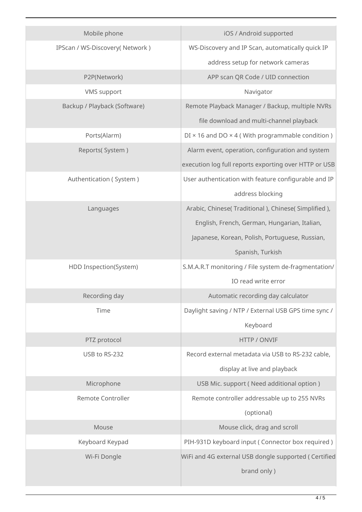| Mobile phone                   | iOS / Android supported                                        |
|--------------------------------|----------------------------------------------------------------|
| IPScan / WS-Discovery(Network) | WS-Discovery and IP Scan, automatically quick IP               |
|                                | address setup for network cameras                              |
| P2P(Network)                   | APP scan QR Code / UID connection                              |
| <b>VMS</b> support             | Navigator                                                      |
| Backup / Playback (Software)   | Remote Playback Manager / Backup, multiple NVRs                |
|                                | file download and multi-channel playback                       |
| Ports(Alarm)                   | $DI \times 16$ and $DO \times 4$ (With programmable condition) |
| Reports(System)                | Alarm event, operation, configuration and system               |
|                                | execution log full reports exporting over HTTP or USB          |
| Authentication (System)        | User authentication with feature configurable and IP           |
|                                | address blocking                                               |
| Languages                      | Arabic, Chinese( Traditional ), Chinese( Simplified ),         |
|                                | English, French, German, Hungarian, Italian,                   |
|                                | Japanese, Korean, Polish, Portuguese, Russian,                 |
|                                | Spanish, Turkish                                               |
| HDD Inspection(System)         | S.M.A.R.T monitoring / File system de-fragmentation/           |
|                                | IO read write error                                            |
| Recording day                  | Automatic recording day calculator                             |
| Time                           | Daylight saving / NTP / External USB GPS time sync /           |
|                                | Keyboard                                                       |
| PTZ protocol                   | HTTP / ONVIF                                                   |
| USB to RS-232                  | Record external metadata via USB to RS-232 cable,              |
|                                | display at live and playback                                   |
| Microphone                     | USB Mic. support (Need additional option)                      |
| <b>Remote Controller</b>       | Remote controller addressable up to 255 NVRs                   |
|                                | (optional)                                                     |
| Mouse                          | Mouse click, drag and scroll                                   |
| Keyboard Keypad                | PIH-931D keyboard input (Connector box required)               |
| Wi-Fi Dongle                   | WiFi and 4G external USB dongle supported ( Certified          |
|                                | brand only)                                                    |
|                                |                                                                |